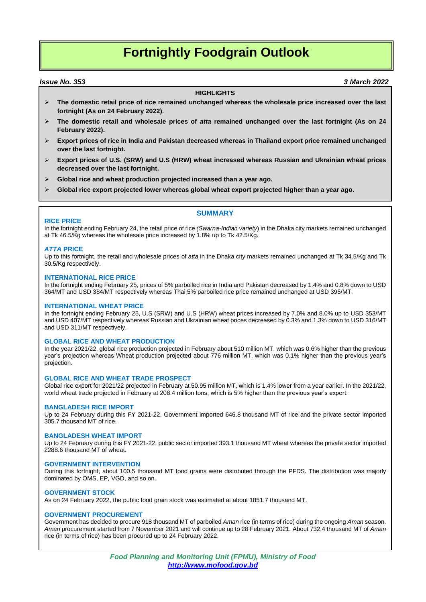# **Fortnightly Foodgrain Outlook**

### *Issue No. 353 3 March 2022*

### **HIGHLIGHTS**

- **The domestic retail price of rice remained unchanged whereas the wholesale price increased over the last fortnight (As on 24 February 2022).**
- **The domestic retail and wholesale prices of** *atta* **remained unchanged over the last fortnight (As on 24 February 2022).**
- **Export prices of rice in India and Pakistan decreased whereas in Thailand export price remained unchanged over the last fortnight.**
- **Export prices of U.S. (SRW) and U.S (HRW) wheat increased whereas Russian and Ukrainian wheat prices decreased over the last fortnight.**
- **Global rice and wheat production projected increased than a year ago.**
- **Global rice export projected lower whereas global wheat export projected higher than a year ago.**

### **SUMMARY**

### **RICE PRICE**

In the fortnight ending February 24, the retail price of rice *(Swarna-Indian variety*) in the Dhaka city markets remained unchanged at Tk 46.5/Kg whereas the wholesale price increased by 1.8% up to Tk 42.5/Kg.

### *ATTA* **PRICE**

Up to this fortnight, the retail and wholesale prices of *atta* in the Dhaka city markets remained unchanged at Tk 34.5/Kg and Tk 30.5/Kg respectively.

### **INTERNATIONAL RICE PRICE**

In the fortnight ending February 25, prices of 5% parboiled rice in India and Pakistan decreased by 1.4% and 0.8% down to USD 364/MT and USD 384/MT respectively whereas Thai 5% parboiled rice price remained unchanged at USD 395/MT.

### **INTERNATIONAL WHEAT PRICE**

In the fortnight ending February 25, U.S (SRW) and U.S (HRW) wheat prices increased by 7.0% and 8.0% up to USD 353/MT and USD 407/MT respectively whereas Russian and Ukrainian wheat prices decreased by 0.3% and 1.3% down to USD 316/MT and USD 311/MT respectively.

### **GLOBAL RICE AND WHEAT PRODUCTION**

In the year 2021/22, global rice production projected in February about 510 million MT, which was 0.6% higher than the previous year's projection whereas Wheat production projected about 776 million MT, which was 0.1% higher than the previous year's projection.

### **GLOBAL RICE AND WHEAT TRADE PROSPECT**

Global rice export for 2021/22 projected in February at 50.95 million MT, which is 1.4% lower from a year earlier. In the 2021/22, world wheat trade projected in February at 208.4 million tons, which is 5% higher than the previous year's export.

### **BANGLADESH RICE IMPORT**

Up to 24 February during this FY 2021-22, Government imported 646.8 thousand MT of rice and the private sector imported 305.7 thousand MT of rice.

### **BANGLADESH WHEAT IMPORT**

Up to 24 February during this FY 2021-22, public sector imported 393.1 thousand MT wheat whereas the private sector imported 2288.6 thousand MT of wheat.

### **GOVERNMENT INTERVENTION**

During this fortnight, about 100.5 thousand MT food grains were distributed through the PFDS. The distribution was majorly dominated by OMS, EP, VGD, and so on.

### **GOVERNMENT STOCK**

As on 24 February 2022, the public food grain stock was estimated at about 1851.7 thousand MT.

### **GOVERNMENT PROCUREMENT**

Government has decided to procure 918 thousand MT of parboiled *Aman* rice (in terms of rice) during the ongoing *Aman* season. *Aman* procurement started from 7 November 2021 and will continue up to 28 February 2021. About 732.4 thousand MT of *Aman* rice (in terms of rice) has been procured up to 24 February 2022.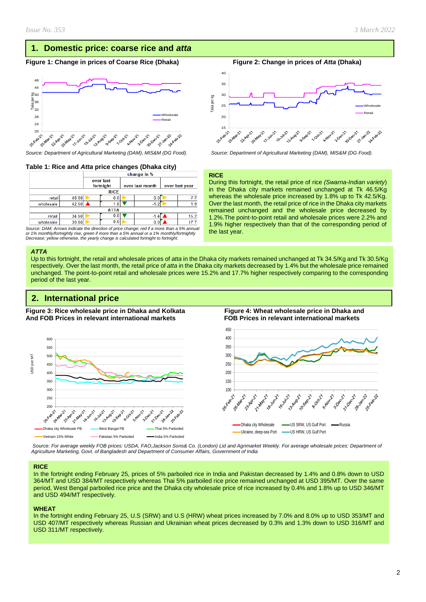### **1. Domestic price: coarse rice and** *atta*

### **Figure 1: Change in prices of Coarse Rice (Dhaka) Figure 2: Change in prices of** *Atta* **(Dhaka)**



### **Table 1: Rice and** *Atta* **price changes (Dhaka city)**

|             |       | change in %            |             |  |                 |                |      |
|-------------|-------|------------------------|-------------|--|-----------------|----------------|------|
|             |       | over last<br>fortnight |             |  | over last month | over last year |      |
| <b>RICE</b> |       |                        |             |  |                 |                |      |
| retail      | 46.50 |                        | 0.0         |  | 0.0             |                | 22   |
| wholesale   | 42.50 |                        | 1.8         |  | $-1.2$          |                | 1.9  |
|             |       |                        | <b>ATTA</b> |  |                 |                |      |
| retail      | 34.50 |                        | 0.0         |  | $-1.4$          |                | 15.2 |
| wholesale   | 30.50 |                        | 0.0         |  | 0.0             |                |      |

*Source: DAM; Arrows indicate the direction of price change: red if a more than a 5% annual or 1% monthly/fortnightly rise, green if more than a 5% annual or a 1% monthly/fortnightly Decrease; yellow otherwise, the yearly change is calculated fortnight to fortnight.*

#### *ATTA*

Up to this fortnight, the retail and wholesale prices of *atta* in the Dhaka city markets remained unchanged at Tk 34.5/Kg and Tk 30.5/Kg respectively. Over the last month, the retail price of *atta* in the Dhaka city markets decreased by 1.4% but the wholesale price remained unchanged. The point-to-point retail and wholesale prices were 15.2% and 17.7% higher respectively comparing to the corresponding period of the last year.

### **2. International price**

**Figure 3: Rice wholesale price in Dhaka and Kolkata Figure 4: Wheat wholesale price in Dhaka and And FOB Prices in relevant international markets FOB Prices in relevant international markets** 





 *Source: For average weekly FOB prices: USDA, FAO,Jackson Sons& Co. (London) Lid and Agrimarket Weekly. For average wholesale prices: Department of Agriculture Marketing, Govt. of Bangladesh and Department of Consumer Affairs, Government of India*

### **RICE**

In the fortnight ending February 25, prices of 5% parboiled rice in India and Pakistan decreased by 1.4% and 0.8% down to USD 364/MT and USD 384/MT respectively whereas Thai 5% parboiled rice price remained unchanged at USD 395/MT. Over the same period, West Bengal parboiled rice price and the Dhaka city wholesale price of rice increased by 0.4% and 1.8% up to USD 346/MT and USD 494/MT respectively.

#### **WHEAT**

In the fortnight ending February 25, U.S (SRW) and U.S (HRW) wheat prices increased by 7.0% and 8.0% up to USD 353/MT and USD 407/MT respectively whereas Russian and Ukrainian wheat prices decreased by 0.3% and 1.3% down to USD 316/MT and USD 311/MT respectively.



*Source: Department of Agricultural Marketing (DAM), MIS&M (DG Food). Source: Department of Agricultural Marketing (DAM), MIS&M (DG Food).*

#### **RICE**

Taka per kg

During this fortnight, the retail price of rice *(Swarna-Indian variety*) in the Dhaka city markets remained unchanged at Tk 46.5/Kg whereas the wholesale price increased by 1.8% up to Tk 42.5/Kg. Over the last month, the retail price of rice in the Dhaka city markets remained unchanged and the wholesale price decreased by 1.2%.The point-to-point retail and wholesale prices were 2.2% and 1.9% higher respectively than that of the corresponding period of the last year.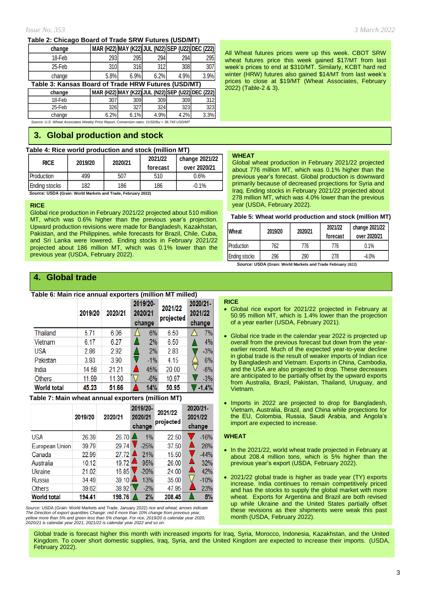### **Table 2: Chicago Board of Trade SRW Futures (USD/MT)**

| change                                              | MAR (H22) MAY (K22) JUL (N22) SEP (U22) DEC (Z22) |      |      |      |      |  |  |  |
|-----------------------------------------------------|---------------------------------------------------|------|------|------|------|--|--|--|
| 18-Feb                                              | 293                                               | 295  | 294  | 294  | 295  |  |  |  |
| 25-Feb                                              | 310                                               | 316  | 312  | 308  | 307  |  |  |  |
| change                                              | 5.8%                                              | 6.9% | 6.2% | 4.9% | 3.9% |  |  |  |
| Table 3: Kansas Board of Trade HRW Futures (USD/MT) |                                                   |      |      |      |      |  |  |  |
| change                                              | MAR (H22) MAY (K22) JUL (N22) SEP (U22) DEC (Z22) |      |      |      |      |  |  |  |
| 18-Feb                                              | 307                                               | 309  | 309  | 309  | 312  |  |  |  |
| 25-Feb                                              | 326                                               | 327  | 324  | 323  | 323  |  |  |  |

*Source: U.S. Wheat Associates Weekly Price Report, Conversion rates: 1USD/bu = 36.743 USD/MT* change | 6.2% 6.1% 4.9% 4.2% 3.3%

## **3. Global production and stock**

### **Table 4: Rice world production and stock (million MT)**

| <b>Production</b><br>499<br>507<br>0.6%<br>510 | <b>RICE</b>   | 2019/20 | 2020/21 | 2021/22<br>forecast | change 2021/22<br>over 2020/21 |
|------------------------------------------------|---------------|---------|---------|---------------------|--------------------------------|
|                                                |               |         |         |                     |                                |
|                                                | Ending stocks | 182     | 186     | 186                 | $-0.1%$                        |

 *Source:* **USDA (Grain: World Markets and Trade, February 2022)**

### **RICE**

Global rice production in February 2021/22 projected about 510 million MT, which was 0.6% higher than the previous year's projection. Upward production revisions were made for Bangladesh, Kazakhstan, Pakistan, and the Philippines, while forecasts for Brazil, Chile, Cuba, and Sri Lanka were lowered. Ending stocks in February 2021/22 projected about 186 million MT, which was 0.1% lower than the previous year (USDA, February 2022).

### *Issue No. 353 3 March 2022*

All Wheat futures prices were up this week. CBOT SRW wheat futures price this week gained \$17/MT from last week's prices to end at \$310/MT. Similarly, KCBT hard red winter (HRW) futures also gained \$14/MT from last week's prices to close at \$19/MT (Wheat Associates, February 2022) (Table-2 & 3).

#### **WHEAT**

Global wheat production in February 2021/22 projected about 776 million MT, which was 0.1% higher than the previous year's forecast. Global production is downward primarily because of decreased projections for Syria and Iraq. Ending stocks in February 2021/22 projected about 278 million MT, which was 4.0% lower than the previous year (USDA, February 2022).

|  | Table 5: Wheat world production and stock (million MT) |  |
|--|--------------------------------------------------------|--|
|--|--------------------------------------------------------|--|

| <b>Wheat</b>       | 2019/20 | 2020/21 | 2021/22<br>forecast | change 2021/22<br>over 2020/21 |  |
|--------------------|---------|---------|---------------------|--------------------------------|--|
| <b>IProduction</b> | 762     | 776     | 776                 | 0.1%                           |  |
| Ending stocks      | 296     | 290     | 278                 | $-4.0\%$                       |  |

 *Source:* **USDA (Grain: World Markets and Trade February 2022)**

## **4. Global trade**

### **Table 6: Main rice annual exporters (million MT milled)**

|                    | 2019/20 | 2020/21 | 2019/20-<br>2021/22<br>2020/21<br>projected<br>change |       | 2020/21-<br>2021/22<br>change |         |
|--------------------|---------|---------|-------------------------------------------------------|-------|-------------------------------|---------|
| Thailand           | 5.71    | 6.06    | 6%                                                    | 6.50  |                               | 7%      |
| Vietnam            | 6.17    | 6.27    | 2%                                                    | 6.50  |                               | 4%      |
| USA                | 2.86    | 2.92    | 2%                                                    | 2.83  |                               | $-3%$   |
| Pakistan           | 3.93    | 3.90    | $-1\%$                                                | 4.15  |                               | 6%      |
| India              | 14.58   | 21.21   | 45%                                                   | 20.00 |                               | $-6%$   |
| <b>Others</b>      | 11.99   | 11.30   | $-6%$                                                 | 10.97 |                               | $-3%$   |
| <b>World total</b> | 45.23   | 51.66   | 14%                                                   | 50.95 |                               | $-1.4%$ |

### **Table 7: Main wheat annual exporters (million MT)**

|                    | 2019/20 | 2020/21 | 2019/20-<br>2020/21<br>change | 2021/22<br>projected | 2020/21-<br>2021/22<br>change |
|--------------------|---------|---------|-------------------------------|----------------------|-------------------------------|
| <b>USA</b>         | 26.39   | 26.70   | $1\%$                         | 22.50                | $-16%$                        |
| European Union     | 39.79   | 29.74   | $-25%$                        | 37.50                | 26%                           |
| Canada             | 22.99   | 27.72   | 21%                           | 15.50                | $-44%$                        |
| Australia          | 10.12   | 19.72   | 95%                           | 26.00                | 32%                           |
| Ukraine            | 21.02   | 16.85   | $-20%$                        | 24.00                | 42%                           |
| Russia             | 34.49   | 39.10   | 13%                           | 35.00                | $-10%$                        |
| Others             | 39.62   | 38.92   | $-2%$                         | 47.95                | 23%                           |
| <b>World total</b> | 194.41  | 198.76  | 2%                            | 208.45               | 5%                            |

*Source:* USDA (Grain: World Markets and Trade, January 2022) *rice and wheat; arrows indicate* The Direction of export quantities Change: red if more than 10% change from previous year,<br>yellow more than 5% and green less than 5% change. For rice, 2019/20 is calendar year 2020,<br>2020/21 is calendar year 2021, 2021/22

#### **RICE**

- Global rice export for 2021/22 projected in February at 50.95 million MT, which is 1.4% lower than the projection of a year earlier (USDA, February 2021).
- Global rice trade in the calendar year 2022 is projected up overall from the previous forecast but down from the yearearlier record. Much of the expected year-to-year decline in global trade is the result of weaker imports of Indian rice by Bangladesh and Vietnam. Exports in China, Cambodia, and the USA are also projected to drop. These decreases are anticipated to be partially offset by the upward exports from Australia, Brazil, Pakistan, Thailand, Uruguay, and Vietnam.
- Imports in 2022 are projected to drop for Bangladesh, Vietnam, Australia, Brazil, and China while projections for the EU, Colombia, Russia, Saudi Arabia, and Angola's import are expected to increase.

### **WHEAT**

- In the 2021/22, world wheat trade projected in February at about 208.4 million tons, which is 5% higher than the previous year's export (USDA, February 2022).
- 2021/22 global trade is higher as trade year (TY) exports increase. India continues to remain competitively priced and has the stocks to supply the global market with more wheat. Exports for Argentina and Brazil are both revised up while Ukraine and the United States partially offset these revisions as their shipments were weak this past month (USDA, February 2022).

Global trade is forecast higher this month with increased imports for Iraq, Syria, Morocco, Indonesia, Kazakhstan, and the United Kingdom. To cover short domestic supplies, Iraq, Syria, and the United Kingdom are expected to increase their imports. (USDA, February 2022).